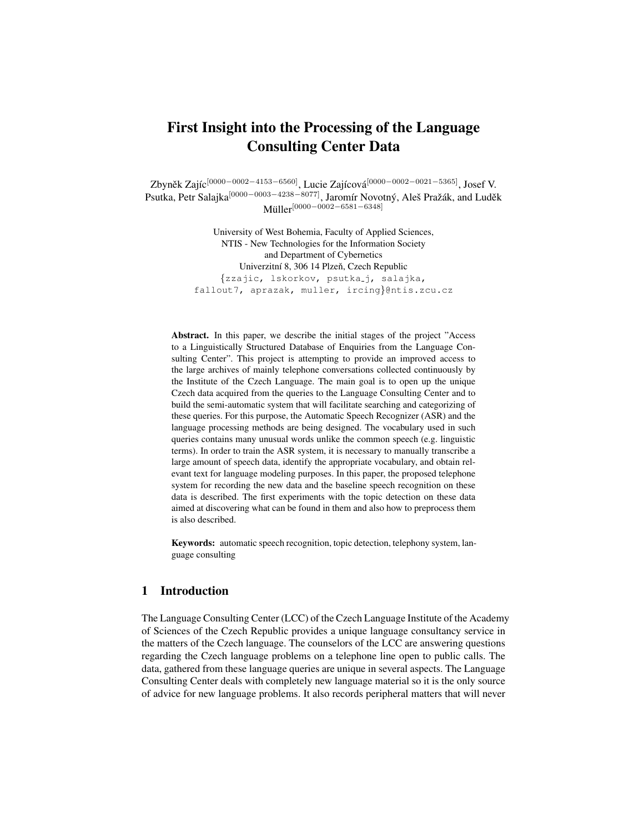# First Insight into the Processing of the Language Consulting Center Data

Zbyněk Zajíc $^{[0000-0002-4153-6560]}$ , Lucie Zajícová $^{[0000-0002-0021-5365]}$ , Josef V. Psutka, Petr Salajka<sup>[0000–0003–4238–8077]</sup>, Jaromír Novotný, Aleš Pražák, and Luděk Müller<sup>[0000−0002−6581−6348]</sup>

> University of West Bohemia, Faculty of Applied Sciences, NTIS - New Technologies for the Information Society and Department of Cybernetics Univerzitní 8, 306 14 Plzeň, Czech Republic {zzajic, lskorkov, psutka j, salajka, fallout7, aprazak, muller, ircing}@ntis.zcu.cz

Abstract. In this paper, we describe the initial stages of the project "Access to a Linguistically Structured Database of Enquiries from the Language Consulting Center". This project is attempting to provide an improved access to the large archives of mainly telephone conversations collected continuously by the Institute of the Czech Language. The main goal is to open up the unique Czech data acquired from the queries to the Language Consulting Center and to build the semi-automatic system that will facilitate searching and categorizing of these queries. For this purpose, the Automatic Speech Recognizer (ASR) and the language processing methods are being designed. The vocabulary used in such queries contains many unusual words unlike the common speech (e.g. linguistic terms). In order to train the ASR system, it is necessary to manually transcribe a large amount of speech data, identify the appropriate vocabulary, and obtain relevant text for language modeling purposes. In this paper, the proposed telephone system for recording the new data and the baseline speech recognition on these data is described. The first experiments with the topic detection on these data aimed at discovering what can be found in them and also how to preprocess them is also described.

Keywords: automatic speech recognition, topic detection, telephony system, language consulting

# 1 Introduction

The Language Consulting Center (LCC) of the Czech Language Institute of the Academy of Sciences of the Czech Republic provides a unique language consultancy service in the matters of the Czech language. The counselors of the LCC are answering questions regarding the Czech language problems on a telephone line open to public calls. The data, gathered from these language queries are unique in several aspects. The Language Consulting Center deals with completely new language material so it is the only source of advice for new language problems. It also records peripheral matters that will never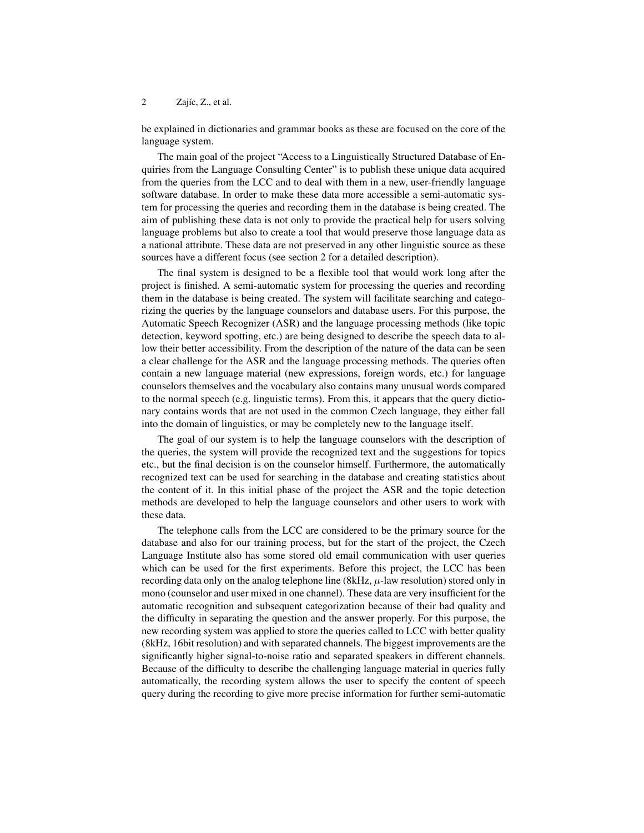be explained in dictionaries and grammar books as these are focused on the core of the language system.

The main goal of the project "Access to a Linguistically Structured Database of Enquiries from the Language Consulting Center" is to publish these unique data acquired from the queries from the LCC and to deal with them in a new, user-friendly language software database. In order to make these data more accessible a semi-automatic system for processing the queries and recording them in the database is being created. The aim of publishing these data is not only to provide the practical help for users solving language problems but also to create a tool that would preserve those language data as a national attribute. These data are not preserved in any other linguistic source as these sources have a different focus (see section 2 for a detailed description).

The final system is designed to be a flexible tool that would work long after the project is finished. A semi-automatic system for processing the queries and recording them in the database is being created. The system will facilitate searching and categorizing the queries by the language counselors and database users. For this purpose, the Automatic Speech Recognizer (ASR) and the language processing methods (like topic detection, keyword spotting, etc.) are being designed to describe the speech data to allow their better accessibility. From the description of the nature of the data can be seen a clear challenge for the ASR and the language processing methods. The queries often contain a new language material (new expressions, foreign words, etc.) for language counselors themselves and the vocabulary also contains many unusual words compared to the normal speech (e.g. linguistic terms). From this, it appears that the query dictionary contains words that are not used in the common Czech language, they either fall into the domain of linguistics, or may be completely new to the language itself.

The goal of our system is to help the language counselors with the description of the queries, the system will provide the recognized text and the suggestions for topics etc., but the final decision is on the counselor himself. Furthermore, the automatically recognized text can be used for searching in the database and creating statistics about the content of it. In this initial phase of the project the ASR and the topic detection methods are developed to help the language counselors and other users to work with these data.

The telephone calls from the LCC are considered to be the primary source for the database and also for our training process, but for the start of the project, the Czech Language Institute also has some stored old email communication with user queries which can be used for the first experiments. Before this project, the LCC has been recording data only on the analog telephone line  $(8kHz, \mu$ -law resolution) stored only in mono (counselor and user mixed in one channel). These data are very insufficient for the automatic recognition and subsequent categorization because of their bad quality and the difficulty in separating the question and the answer properly. For this purpose, the new recording system was applied to store the queries called to LCC with better quality (8kHz, 16bit resolution) and with separated channels. The biggest improvements are the significantly higher signal-to-noise ratio and separated speakers in different channels. Because of the difficulty to describe the challenging language material in queries fully automatically, the recording system allows the user to specify the content of speech query during the recording to give more precise information for further semi-automatic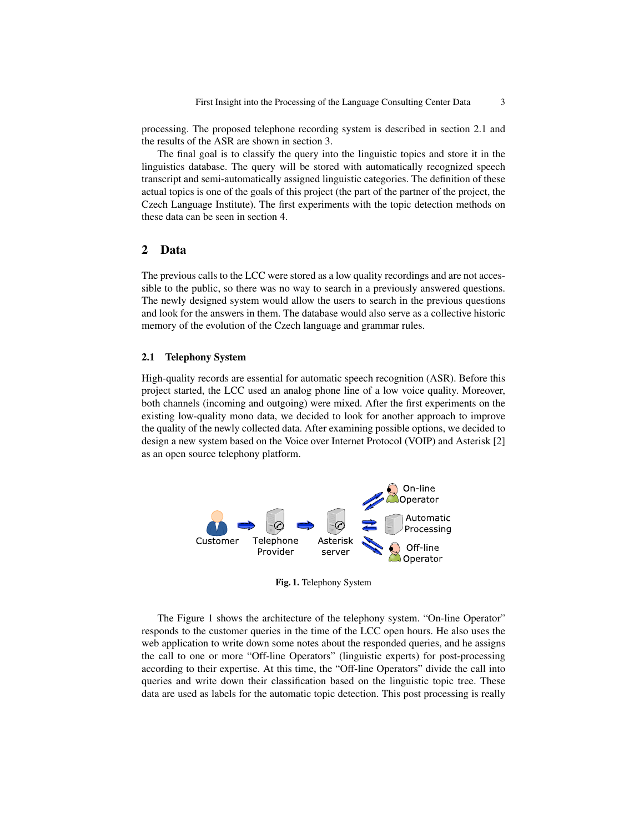processing. The proposed telephone recording system is described in section 2.1 and the results of the ASR are shown in section 3.

The final goal is to classify the query into the linguistic topics and store it in the linguistics database. The query will be stored with automatically recognized speech transcript and semi-automatically assigned linguistic categories. The definition of these actual topics is one of the goals of this project (the part of the partner of the project, the Czech Language Institute). The first experiments with the topic detection methods on these data can be seen in section 4.

# 2 Data

The previous calls to the LCC were stored as a low quality recordings and are not accessible to the public, so there was no way to search in a previously answered questions. The newly designed system would allow the users to search in the previous questions and look for the answers in them. The database would also serve as a collective historic memory of the evolution of the Czech language and grammar rules.

#### 2.1 Telephony System

High-quality records are essential for automatic speech recognition (ASR). Before this project started, the LCC used an analog phone line of a low voice quality. Moreover, both channels (incoming and outgoing) were mixed. After the first experiments on the existing low-quality mono data, we decided to look for another approach to improve the quality of the newly collected data. After examining possible options, we decided to design a new system based on the Voice over Internet Protocol (VOIP) and Asterisk [2] as an open source telephony platform.



Fig. 1. Telephony System

The Figure 1 shows the architecture of the telephony system. "On-line Operator" responds to the customer queries in the time of the LCC open hours. He also uses the web application to write down some notes about the responded queries, and he assigns the call to one or more "Off-line Operators" (linguistic experts) for post-processing according to their expertise. At this time, the "Off-line Operators" divide the call into queries and write down their classification based on the linguistic topic tree. These data are used as labels for the automatic topic detection. This post processing is really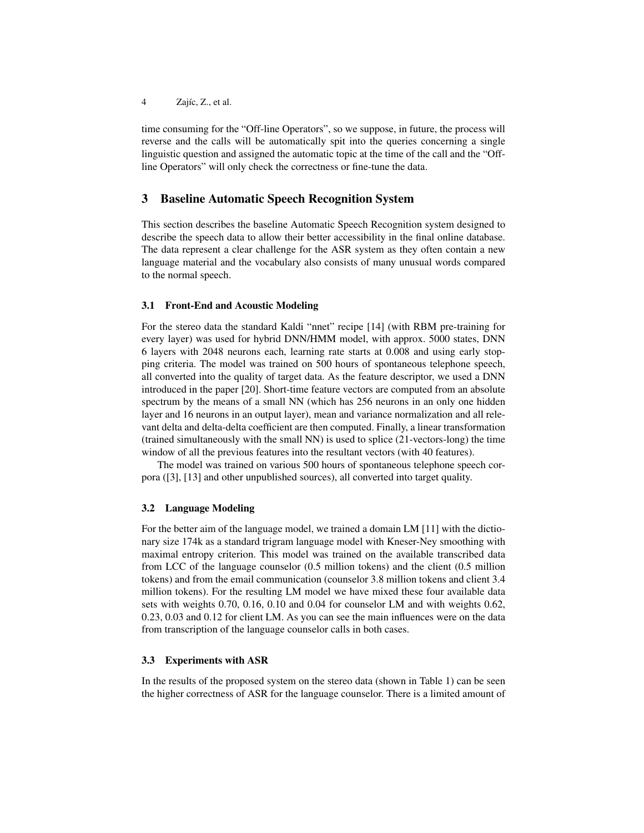time consuming for the "Off-line Operators", so we suppose, in future, the process will reverse and the calls will be automatically spit into the queries concerning a single linguistic question and assigned the automatic topic at the time of the call and the "Offline Operators" will only check the correctness or fine-tune the data.

# 3 Baseline Automatic Speech Recognition System

This section describes the baseline Automatic Speech Recognition system designed to describe the speech data to allow their better accessibility in the final online database. The data represent a clear challenge for the ASR system as they often contain a new language material and the vocabulary also consists of many unusual words compared to the normal speech.

#### 3.1 Front-End and Acoustic Modeling

For the stereo data the standard Kaldi "nnet" recipe [14] (with RBM pre-training for every layer) was used for hybrid DNN/HMM model, with approx. 5000 states, DNN 6 layers with 2048 neurons each, learning rate starts at 0.008 and using early stopping criteria. The model was trained on 500 hours of spontaneous telephone speech, all converted into the quality of target data. As the feature descriptor, we used a DNN introduced in the paper [20]. Short-time feature vectors are computed from an absolute spectrum by the means of a small NN (which has 256 neurons in an only one hidden layer and 16 neurons in an output layer), mean and variance normalization and all relevant delta and delta-delta coefficient are then computed. Finally, a linear transformation (trained simultaneously with the small NN) is used to splice (21-vectors-long) the time window of all the previous features into the resultant vectors (with 40 features).

The model was trained on various 500 hours of spontaneous telephone speech corpora ([3], [13] and other unpublished sources), all converted into target quality.

# 3.2 Language Modeling

For the better aim of the language model, we trained a domain LM [11] with the dictionary size 174k as a standard trigram language model with Kneser-Ney smoothing with maximal entropy criterion. This model was trained on the available transcribed data from LCC of the language counselor (0.5 million tokens) and the client (0.5 million tokens) and from the email communication (counselor 3.8 million tokens and client 3.4 million tokens). For the resulting LM model we have mixed these four available data sets with weights 0.70, 0.16, 0.10 and 0.04 for counselor LM and with weights 0.62, 0.23, 0.03 and 0.12 for client LM. As you can see the main influences were on the data from transcription of the language counselor calls in both cases.

#### 3.3 Experiments with ASR

In the results of the proposed system on the stereo data (shown in Table 1) can be seen the higher correctness of ASR for the language counselor. There is a limited amount of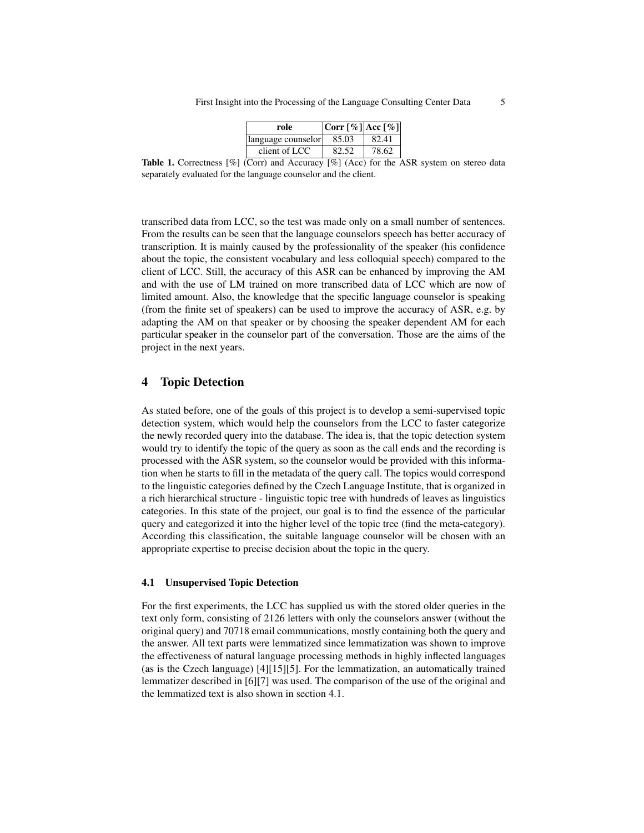| 85.03<br>82.41<br>language counselor |  |
|--------------------------------------|--|
|                                      |  |
| 78.62<br>client of LCC<br>82.52      |  |

**Table 1.** Correctness [%] (Corr) and Accuracy [%] (Acc) for the ASR system on stereo data separately evaluated for the language counselor and the client.

transcribed data from LCC, so the test was made only on a small number of sentences. From the results can be seen that the language counselors speech has better accuracy of transcription. It is mainly caused by the professionality of the speaker (his confidence about the topic, the consistent vocabulary and less colloquial speech) compared to the client of LCC. Still, the accuracy of this ASR can be enhanced by improving the AM and with the use of LM trained on more transcribed data of LCC which are now of limited amount. Also, the knowledge that the specific language counselor is speaking (from the finite set of speakers) can be used to improve the accuracy of ASR, e.g. by adapting the AM on that speaker or by choosing the speaker dependent AM for each particular speaker in the counselor part of the conversation. Those are the aims of the project in the next years.

# 4 Topic Detection

As stated before, one of the goals of this project is to develop a semi-supervised topic detection system, which would help the counselors from the LCC to faster categorize the newly recorded query into the database. The idea is, that the topic detection system would try to identify the topic of the query as soon as the call ends and the recording is processed with the ASR system, so the counselor would be provided with this information when he starts to fill in the metadata of the query call. The topics would correspond to the linguistic categories defined by the Czech Language Institute, that is organized in a rich hierarchical structure - linguistic topic tree with hundreds of leaves as linguistics categories. In this state of the project, our goal is to find the essence of the particular query and categorized it into the higher level of the topic tree (find the meta-category). According this classification, the suitable language counselor will be chosen with an appropriate expertise to precise decision about the topic in the query.

#### 4.1 Unsupervised Topic Detection

For the first experiments, the LCC has supplied us with the stored older queries in the text only form, consisting of 2126 letters with only the counselors answer (without the original query) and 70718 email communications, mostly containing both the query and the answer. All text parts were lemmatized since lemmatization was shown to improve the effectiveness of natural language processing methods in highly inflected languages (as is the Czech language) [4][15][5]. For the lemmatization, an automatically trained lemmatizer described in [6][7] was used. The comparison of the use of the original and the lemmatized text is also shown in section 4.1.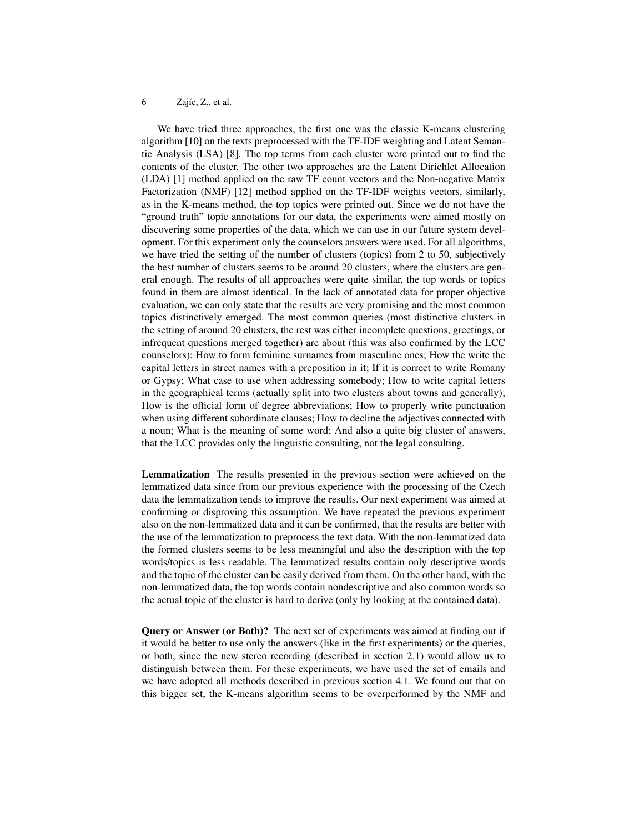We have tried three approaches, the first one was the classic K-means clustering algorithm [10] on the texts preprocessed with the TF-IDF weighting and Latent Semantic Analysis (LSA) [8]. The top terms from each cluster were printed out to find the contents of the cluster. The other two approaches are the Latent Dirichlet Allocation (LDA) [1] method applied on the raw TF count vectors and the Non-negative Matrix Factorization (NMF) [12] method applied on the TF-IDF weights vectors, similarly, as in the K-means method, the top topics were printed out. Since we do not have the "ground truth" topic annotations for our data, the experiments were aimed mostly on discovering some properties of the data, which we can use in our future system development. For this experiment only the counselors answers were used. For all algorithms, we have tried the setting of the number of clusters (topics) from 2 to 50, subjectively the best number of clusters seems to be around 20 clusters, where the clusters are general enough. The results of all approaches were quite similar, the top words or topics found in them are almost identical. In the lack of annotated data for proper objective evaluation, we can only state that the results are very promising and the most common topics distinctively emerged. The most common queries (most distinctive clusters in the setting of around 20 clusters, the rest was either incomplete questions, greetings, or infrequent questions merged together) are about (this was also confirmed by the LCC counselors): How to form feminine surnames from masculine ones; How the write the capital letters in street names with a preposition in it; If it is correct to write Romany or Gypsy; What case to use when addressing somebody; How to write capital letters in the geographical terms (actually split into two clusters about towns and generally); How is the official form of degree abbreviations; How to properly write punctuation when using different subordinate clauses; How to decline the adjectives connected with a noun; What is the meaning of some word; And also a quite big cluster of answers, that the LCC provides only the linguistic consulting, not the legal consulting.

Lemmatization The results presented in the previous section were achieved on the lemmatized data since from our previous experience with the processing of the Czech data the lemmatization tends to improve the results. Our next experiment was aimed at confirming or disproving this assumption. We have repeated the previous experiment also on the non-lemmatized data and it can be confirmed, that the results are better with the use of the lemmatization to preprocess the text data. With the non-lemmatized data the formed clusters seems to be less meaningful and also the description with the top words/topics is less readable. The lemmatized results contain only descriptive words and the topic of the cluster can be easily derived from them. On the other hand, with the non-lemmatized data, the top words contain nondescriptive and also common words so the actual topic of the cluster is hard to derive (only by looking at the contained data).

Query or Answer (or Both)? The next set of experiments was aimed at finding out if it would be better to use only the answers (like in the first experiments) or the queries, or both, since the new stereo recording (described in section 2.1) would allow us to distinguish between them. For these experiments, we have used the set of emails and we have adopted all methods described in previous section 4.1. We found out that on this bigger set, the K-means algorithm seems to be overperformed by the NMF and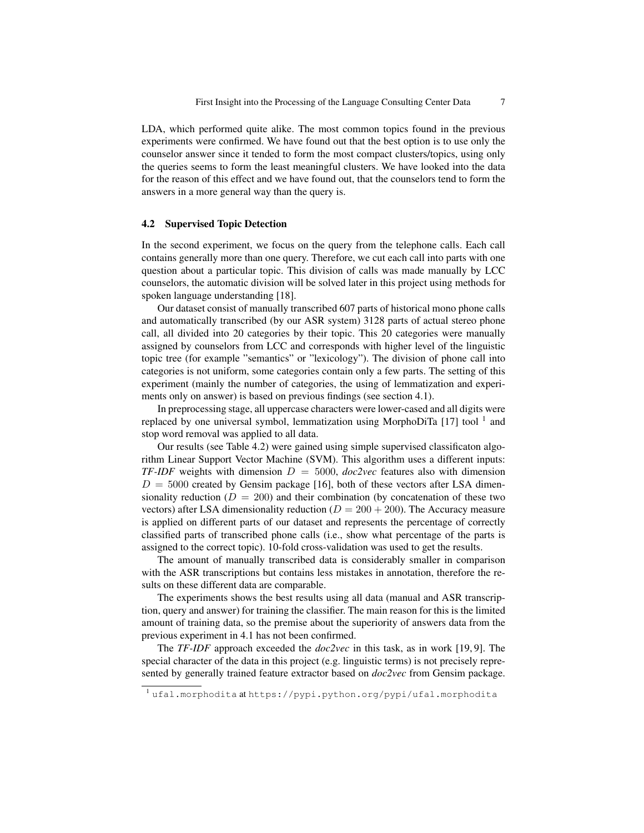LDA, which performed quite alike. The most common topics found in the previous experiments were confirmed. We have found out that the best option is to use only the counselor answer since it tended to form the most compact clusters/topics, using only the queries seems to form the least meaningful clusters. We have looked into the data for the reason of this effect and we have found out, that the counselors tend to form the answers in a more general way than the query is.

#### 4.2 Supervised Topic Detection

In the second experiment, we focus on the query from the telephone calls. Each call contains generally more than one query. Therefore, we cut each call into parts with one question about a particular topic. This division of calls was made manually by LCC counselors, the automatic division will be solved later in this project using methods for spoken language understanding [18].

Our dataset consist of manually transcribed 607 parts of historical mono phone calls and automatically transcribed (by our ASR system) 3128 parts of actual stereo phone call, all divided into 20 categories by their topic. This 20 categories were manually assigned by counselors from LCC and corresponds with higher level of the linguistic topic tree (for example "semantics" or "lexicology"). The division of phone call into categories is not uniform, some categories contain only a few parts. The setting of this experiment (mainly the number of categories, the using of lemmatization and experiments only on answer) is based on previous findings (see section 4.1).

In preprocessing stage, all uppercase characters were lower-cased and all digits were replaced by one universal symbol, lemmatization using MorphoDiTa  $[17]$  tool<sup>1</sup> and stop word removal was applied to all data.

Our results (see Table 4.2) were gained using simple supervised classificaton algorithm Linear Support Vector Machine (SVM). This algorithm uses a different inputs: *TF-IDF* weights with dimension  $D = 5000$ , *doc2vec* features also with dimension  $D = 5000$  created by Gensim package [16], both of these vectors after LSA dimensionality reduction ( $D = 200$ ) and their combination (by concatenation of these two vectors) after LSA dimensionality reduction ( $D = 200 + 200$ ). The Accuracy measure is applied on different parts of our dataset and represents the percentage of correctly classified parts of transcribed phone calls (i.e., show what percentage of the parts is assigned to the correct topic). 10-fold cross-validation was used to get the results.

The amount of manually transcribed data is considerably smaller in comparison with the ASR transcriptions but contains less mistakes in annotation, therefore the results on these different data are comparable.

The experiments shows the best results using all data (manual and ASR transcription, query and answer) for training the classifier. The main reason for this is the limited amount of training data, so the premise about the superiority of answers data from the previous experiment in 4.1 has not been confirmed.

The *TF-IDF* approach exceeded the *doc2vec* in this task, as in work [19, 9]. The special character of the data in this project (e.g. linguistic terms) is not precisely represented by generally trained feature extractor based on *doc2vec* from Gensim package.

<sup>1</sup> ufal.morphodita at https://pypi.python.org/pypi/ufal.morphodita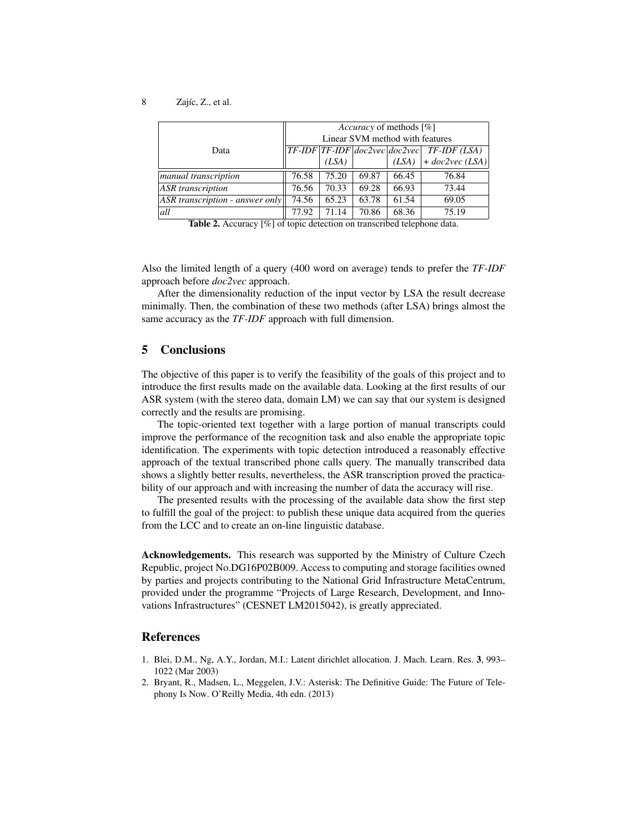|                                    | <i>Accuracy</i> of methods [%]  |       |       |       |                                                      |
|------------------------------------|---------------------------------|-------|-------|-------|------------------------------------------------------|
|                                    | Linear SVM method with features |       |       |       |                                                      |
| Data                               |                                 |       |       |       | $TF$ -IDF $TF$ -IDF $ doc2vec doc2vec $ TF-IDF (LSA) |
|                                    |                                 | (LSA) |       | (LSA) | $+ doc2vec(LSA)$                                     |
| <i>manual transcription</i>        | 76.58                           | 75.20 | 69.87 | 66.45 | 76.84                                                |
| ASR transcription                  | 76.56                           | 70.33 | 69.28 | 66.93 | 73.44                                                |
| $ ASR$ transcription - answer only | 74.56                           | 65.23 | 63.78 | 61.54 | 69.05                                                |
| all                                | 77.92                           | 71.14 | 70.86 | 68.36 | 75.19                                                |

Table 2. Accuracy [%] of topic detection on transcribed telephone data.

Also the limited length of a query (400 word on average) tends to prefer the *TF-IDF* approach before *doc2vec* approach.

After the dimensionality reduction of the input vector by LSA the result decrease minimally. Then, the combination of these two methods (after LSA) brings almost the same accuracy as the *TF-IDF* approach with full dimension.

# 5 Conclusions

The objective of this paper is to verify the feasibility of the goals of this project and to introduce the first results made on the available data. Looking at the first results of our ASR system (with the stereo data, domain LM) we can say that our system is designed correctly and the results are promising.

The topic-oriented text together with a large portion of manual transcripts could improve the performance of the recognition task and also enable the appropriate topic identification. The experiments with topic detection introduced a reasonably effective approach of the textual transcribed phone calls query. The manually transcribed data shows a slightly better results, nevertheless, the ASR transcription proved the practicability of our approach and with increasing the number of data the accuracy will rise.

The presented results with the processing of the available data show the first step to fulfill the goal of the project: to publish these unique data acquired from the queries from the LCC and to create an on-line linguistic database.

Acknowledgements. This research was supported by the Ministry of Culture Czech Republic, project No.DG16P02B009. Access to computing and storage facilities owned by parties and projects contributing to the National Grid Infrastructure MetaCentrum, provided under the programme "Projects of Large Research, Development, and Innovations Infrastructures" (CESNET LM2015042), is greatly appreciated.

## References

- 1. Blei, D.M., Ng, A.Y., Jordan, M.I.: Latent dirichlet allocation. J. Mach. Learn. Res. 3, 993– 1022 (Mar 2003)
- 2. Bryant, R., Madsen, L., Meggelen, J.V.: Asterisk: The Definitive Guide: The Future of Telephony Is Now. O'Reilly Media, 4th edn. (2013)